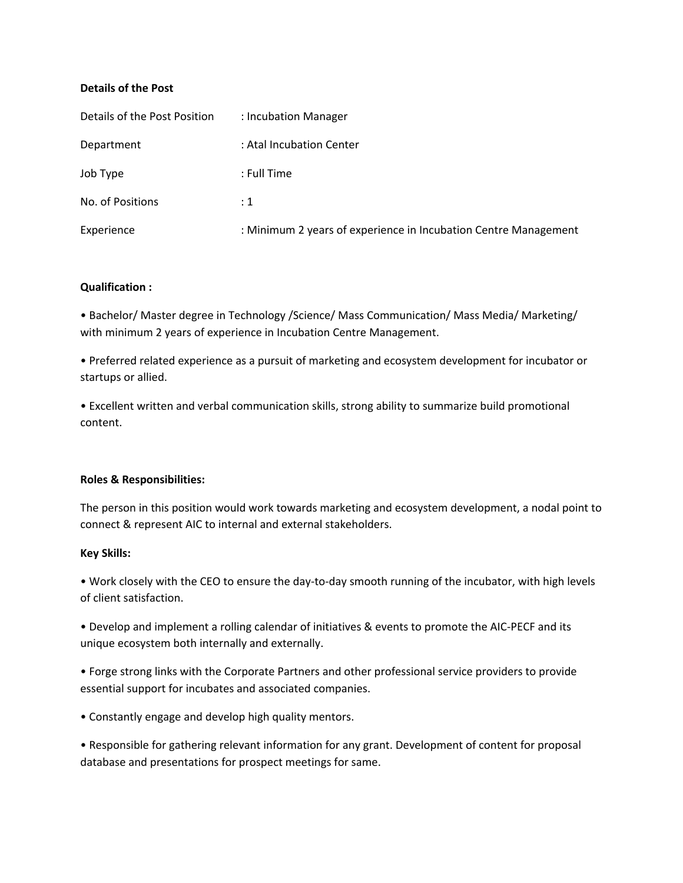### **Details of the Post**

| Details of the Post Position | : Incubation Manager                                            |
|------------------------------|-----------------------------------------------------------------|
| Department                   | : Atal Incubation Center                                        |
| Job Type                     | : Full Time                                                     |
| No. of Positions             | $\div 1$                                                        |
| Experience                   | : Minimum 2 years of experience in Incubation Centre Management |

### **Qualification :**

• Bachelor/ Master degree in Technology /Science/ Mass Communication/ Mass Media/ Marketing/ with minimum 2 years of experience in Incubation Centre Management.

• Preferred related experience as a pursuit of marketing and ecosystem development for incubator or startups or allied.

• Excellent written and verbal communication skills, strong ability to summarize build promotional content.

# **Roles & Responsibilities:**

The person in this position would work towards marketing and ecosystem development, a nodal point to connect & represent AIC to internal and external stakeholders.

# **Key Skills:**

• Work closely with the CEO to ensure the day-to-day smooth running of the incubator, with high levels of client satisfaction.

• Develop and implement a rolling calendar of initiatives & events to promote the AIC-PECF and its unique ecosystem both internally and externally.

• Forge strong links with the Corporate Partners and other professional service providers to provide essential support for incubates and associated companies.

• Constantly engage and develop high quality mentors.

• Responsible for gathering relevant information for any grant. Development of content for proposal database and presentations for prospect meetings for same.